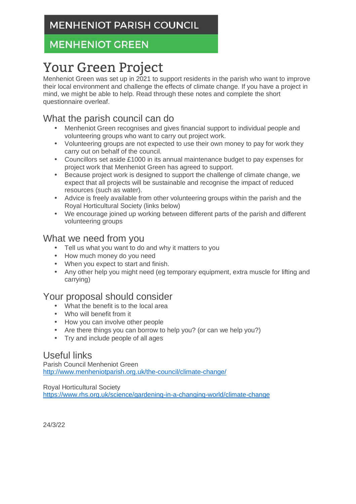# **MENHENIOT GREEN**

# Your Green Project

Menheniot Green was set up in 2021 to support residents in the parish who want to improve their local environment and challenge the effects of climate change. If you have a project in mind, we might be able to help. Read through these notes and complete the short questionnaire overleaf.

# What the parish council can do

- Menheniot Green recognises and gives financial support to individual people and volunteering groups who want to carry out project work.
- Volunteering groups are not expected to use their own money to pay for work they carry out on behalf of the council.
- Councillors set aside £1000 in its annual maintenance budget to pay expenses for project work that Menheniot Green has agreed to support.
- Because project work is designed to support the challenge of climate change, we expect that all projects will be sustainable and recognise the impact of reduced resources (such as water).
- Advice is freely available from other volunteering groups within the parish and the Royal Horticultural Society (links below)
- We encourage joined up working between different parts of the parish and different volunteering groups

### What we need from you

- Tell us what you want to do and why it matters to you
- How much money do you need
- When you expect to start and finish.
- Any other help you might need (eg temporary equipment, extra muscle for lifting and carrying)

#### Your proposal should consider

- What the benefit is to the local area
- Who will benefit from it
- How you can involve other people
- Are there things you can borrow to help you? (or can we help you?)
- Try and include people of all ages

#### Useful links

Parish Council Menheniot Green http://www.menheniotparish.org.uk/the-council/climate-change/

Royal Horticultural Society https://www.rhs.org.uk/science/gardening-in-a-changing-world/climate-change

24/3/22